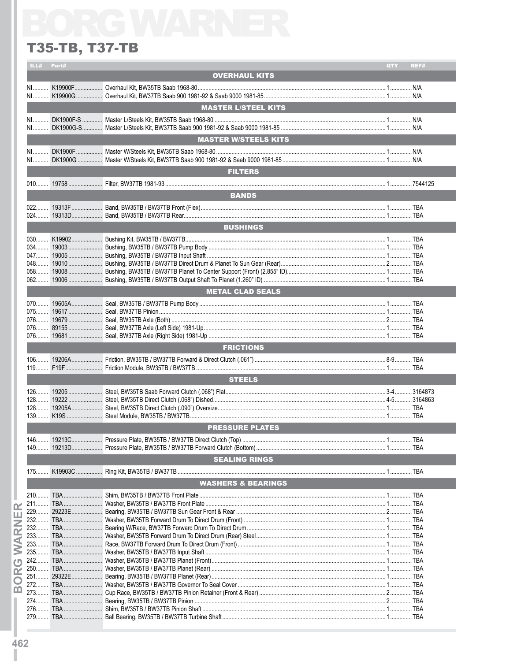# **T35-TB, T37-TB**

### ILL# Part# QTY REF# **OVERHAUL KITS** N1.......... K19900F.................. Overhaul Kit, BW35TB Saab 1968-80.... NI K19900G Overhaul Kit RW37TR Saab 900 1981-92 & Saab 9000 1981-85 3 4 1 N/A **MASTER L/STEEL KITS MASTER W/STEELS KITS** NI........... DK1900F................... Master W/Steels Kit, BW35TB Saab 1968-80............................ NI DK1900G Master W/Steels Kit BW37TB Saab 900 1981-92 & Saab 9000 1981-85 6 1 N/A **ELTERS Example 19 Service Service Service Service Service Service Service Service Service Service Service Service Service EXECUTE IN THE BUSHINGS** METAL CLAD SEALS **ERICTIONS STEELS PRESSURE PLATES SEALING RINGS WASHERS & BEARINGS**

 $\bar{\mathbf{p}}$ 

œ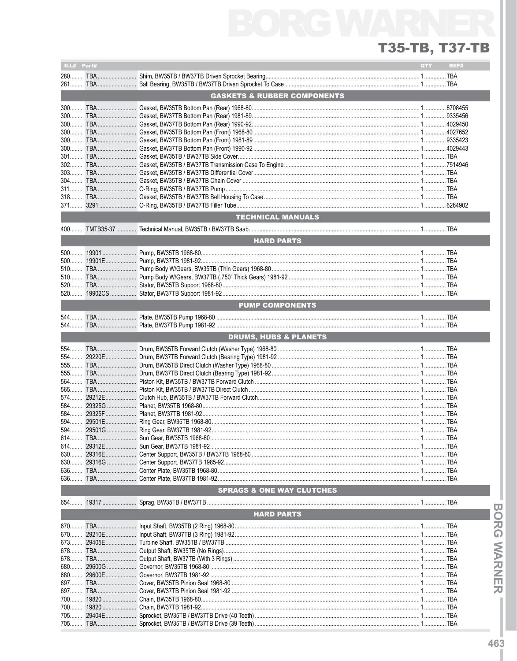### T35-TB, T37-TB

| ILL# Part# |            |                                           | QTY | REF#       |
|------------|------------|-------------------------------------------|-----|------------|
|            |            |                                           |     |            |
|            |            |                                           |     |            |
|            |            |                                           |     |            |
|            |            | <b>GASKETS &amp; RUBBER COMPONENTS</b>    |     |            |
|            |            |                                           |     |            |
|            |            |                                           |     |            |
|            |            |                                           |     |            |
|            |            |                                           |     |            |
|            |            |                                           |     |            |
|            |            |                                           |     |            |
|            |            |                                           |     |            |
|            |            |                                           |     |            |
|            |            |                                           |     |            |
|            |            |                                           |     |            |
|            |            |                                           |     |            |
|            |            |                                           |     |            |
| 304        |            |                                           |     |            |
|            |            |                                           |     |            |
|            |            |                                           |     |            |
|            |            |                                           |     |            |
|            |            |                                           |     |            |
|            |            |                                           |     |            |
|            |            | <b>TECHNICAL MANUALS</b>                  |     |            |
|            |            |                                           |     |            |
|            |            |                                           |     |            |
|            |            | <b>HARD PARTS</b>                         |     |            |
|            |            |                                           |     |            |
| $500$      |            |                                           |     |            |
|            |            |                                           |     |            |
|            |            |                                           |     |            |
|            |            |                                           |     |            |
| $510$      |            |                                           |     |            |
|            |            |                                           |     |            |
|            |            |                                           |     |            |
|            |            |                                           |     |            |
|            |            | <b>PUMP COMPONENTS</b>                    |     |            |
|            |            |                                           |     |            |
|            |            |                                           |     |            |
|            |            |                                           |     |            |
|            |            |                                           |     |            |
|            |            | <b>DRUMS, HUBS &amp; PLANETS</b>          |     |            |
|            |            |                                           |     |            |
|            |            |                                           |     |            |
|            |            |                                           |     |            |
|            |            |                                           |     |            |
| 555        |            |                                           |     |            |
|            |            |                                           |     |            |
|            |            |                                           |     |            |
|            |            |                                           |     |            |
|            |            |                                           |     |            |
|            |            |                                           |     |            |
|            |            |                                           |     |            |
| 584        |            |                                           |     |            |
|            |            |                                           |     |            |
|            |            |                                           |     |            |
|            |            |                                           |     |            |
|            |            |                                           |     |            |
|            |            |                                           |     |            |
| $630$      |            |                                           |     |            |
| 630        |            |                                           |     |            |
| 636        |            |                                           |     |            |
|            |            |                                           |     |            |
|            |            |                                           |     |            |
|            |            | <b>SPRAGS &amp; ONE WAY CLUTCHES</b>      |     |            |
|            |            |                                           |     |            |
|            |            |                                           |     |            |
|            |            |                                           |     |            |
|            |            | <b>HARD PARTS</b>                         |     |            |
|            |            |                                           |     |            |
|            |            |                                           |     |            |
|            |            |                                           |     |            |
|            |            |                                           |     |            |
| 678        |            |                                           |     |            |
|            |            |                                           |     |            |
|            |            |                                           |     |            |
| 680        |            |                                           |     |            |
| 680        |            |                                           |     |            |
| 697        |            |                                           |     |            |
| 697        |            |                                           |     |            |
|            |            |                                           |     |            |
|            |            |                                           |     |            |
|            |            |                                           |     |            |
|            |            |                                           |     |            |
| 705        | <b>TRA</b> | Sprocket RW35TR / RW37TR Drive (39 Teeth) |     | <b>TRA</b> |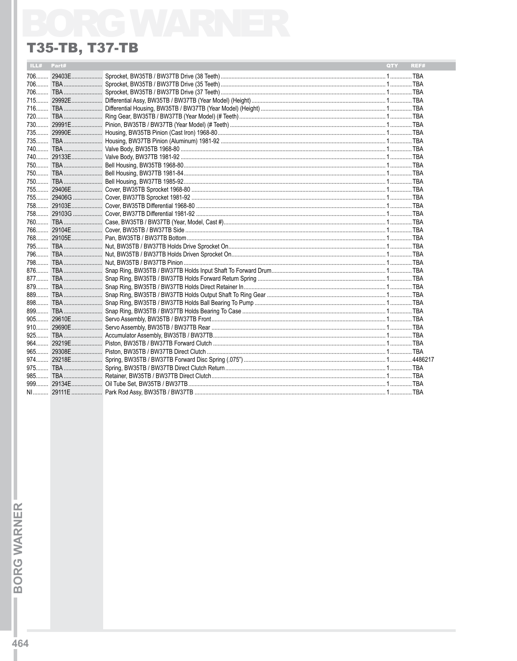## **T35-TB, T37-TB**

| ILL# | Part# | QTY | REF# |
|------|-------|-----|------|
|      |       |     |      |
|      |       |     |      |
|      |       |     |      |
|      |       |     |      |
|      |       |     |      |
|      |       |     |      |
|      |       |     |      |
|      |       |     |      |
|      |       |     |      |
|      |       |     |      |
|      |       |     |      |
|      |       |     |      |
|      |       |     |      |
|      |       |     |      |
|      |       |     |      |
|      |       |     |      |
|      |       |     |      |
|      |       |     |      |
|      |       |     |      |
|      |       |     |      |
|      |       |     |      |
|      |       |     |      |
|      |       |     |      |
|      |       |     |      |
|      |       |     |      |
|      |       |     |      |
|      |       |     |      |
|      |       |     |      |
|      |       |     |      |
|      |       |     |      |
|      |       |     |      |
|      |       |     |      |
|      |       |     |      |
|      |       |     |      |
|      |       |     |      |
|      |       |     |      |
|      |       |     |      |
|      |       |     |      |
|      |       |     |      |
|      |       |     |      |

**BORG WARNER** T